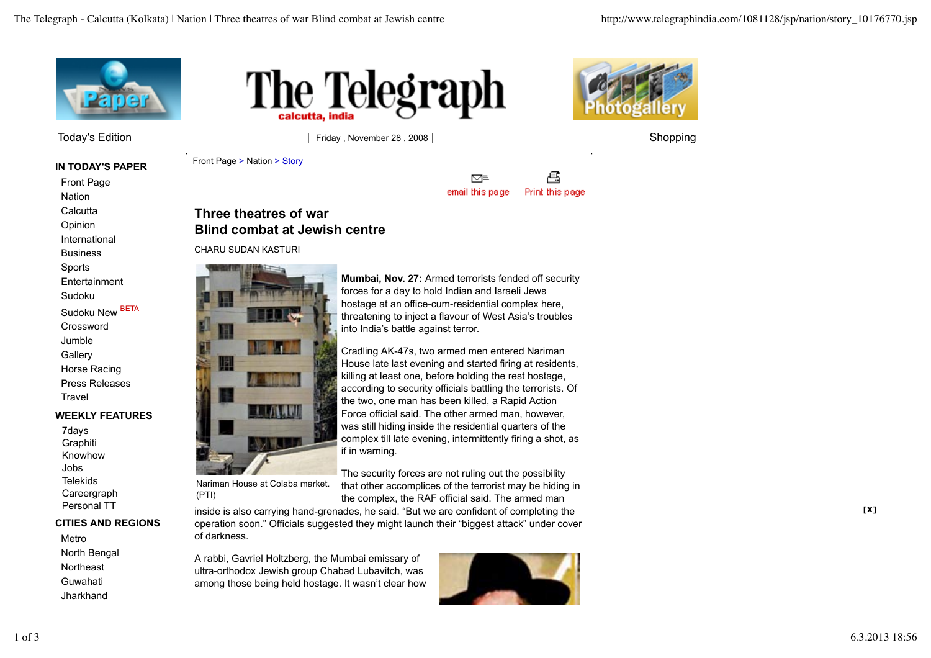

Today's Edition | Friday , November 28 , 2008 | Shopping | Shopping | Shopping | Shopping | Shopping | Shopping

**IN TODAY'S PAPER**

Front Page **Nation** 

**Calcutta** 

Opinion

International

Business

Sports

Entertainment

Sudoku

Sudoku New BETA

Crossword

Jumble **Gallery** 

Horse Racing Press Releases

**Travel** 

# **WEEKLY FEATURES**

7days **Graphiti** Knowhow Jobs Telekids **Careergraph** Personal TT

## **CITIES AND REGIONS**

Metro North Bengal **Northeast** Guwahati **Jharkhand** 





Front Page > Nation > Story

€ ⊠≡ email this page Print this page

# **Three theatres of war Blind combat at Jewish centre**

CHARU SUDAN KASTURI



Nariman House at Colaba market. (PTI)

The security forces are not ruling out the possibility that other accomplices of the terrorist may be hiding in the complex, the RAF official said. The armed man

inside is also carrying hand-grenades, he said. "But we are confident of completing the operation soon." Officials suggested they might launch their "biggest attack" under cover of darkness.

A rabbi, Gavriel Holtzberg, the Mumbai emissary of ultra-orthodox Jewish group Chabad Lubavitch, was among those being held hostage. It wasn't clear how